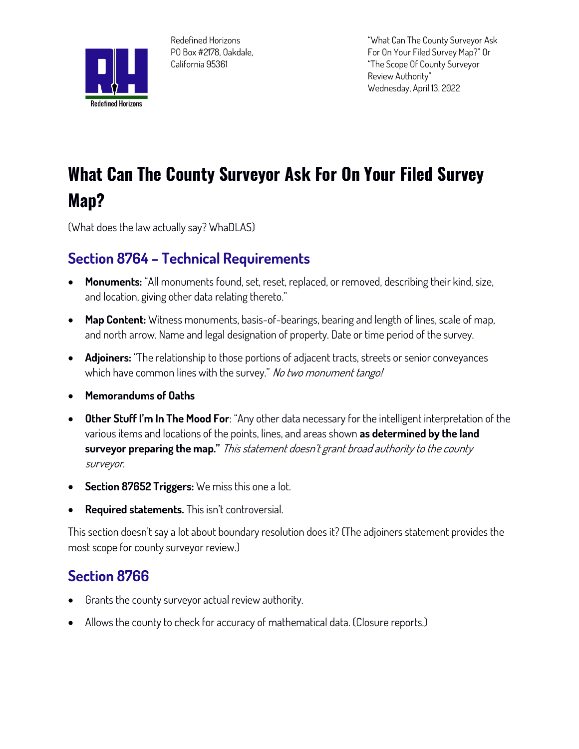

**Redefined Horizons PO Box #2178, Oakdale, California 95361**

**"What Can The County Surveyor Ask For On Your Filed Survey Map?" Or "The Scope Of County Surveyor Review Authority" Wednesday, April 13, 2022**

# **What Can The County Surveyor Ask For On Your Filed Survey Map?**

**(What does the law actually say? WhaDLAS)**

## **Section 8764 – Technical Requirements**

- **Monuments: "All monuments found, set, reset, replaced, or removed, describing their kind, size, and location, giving other data relating thereto."**
- **Map Content: Witness monuments, basis-of-bearings, bearing and length of lines, scale of map, and north arrow. Name and legal designation of property. Date or time period of the survey.**
- **Adjoiners: "The relationship to those portions of adjacent tracts, streets or senior conveyances which have common lines with the survey." No two monument tango!**
- **Memorandums of Oaths**
- **Other Stuff I'm In The Mood For: "Any other data necessary for the intelligent interpretation of the various items and locations of the points, lines, and areas shown as determined by the land surveyor preparing the map." This statement doesn't grant broad authority to the county surveyor.**
- **Section 87652 Triggers:** We miss this one a lot.
- **Required statements. This isn't controversial.**

**This section doesn't say a lot about boundary resolution does it? (The adjoiners statement provides the most scope for county surveyor review.)**

## **Section 8766**

- **Grants the county surveyor actual review authority.**
- **Allows the county to check for accuracy of mathematical data. (Closure reports.)**